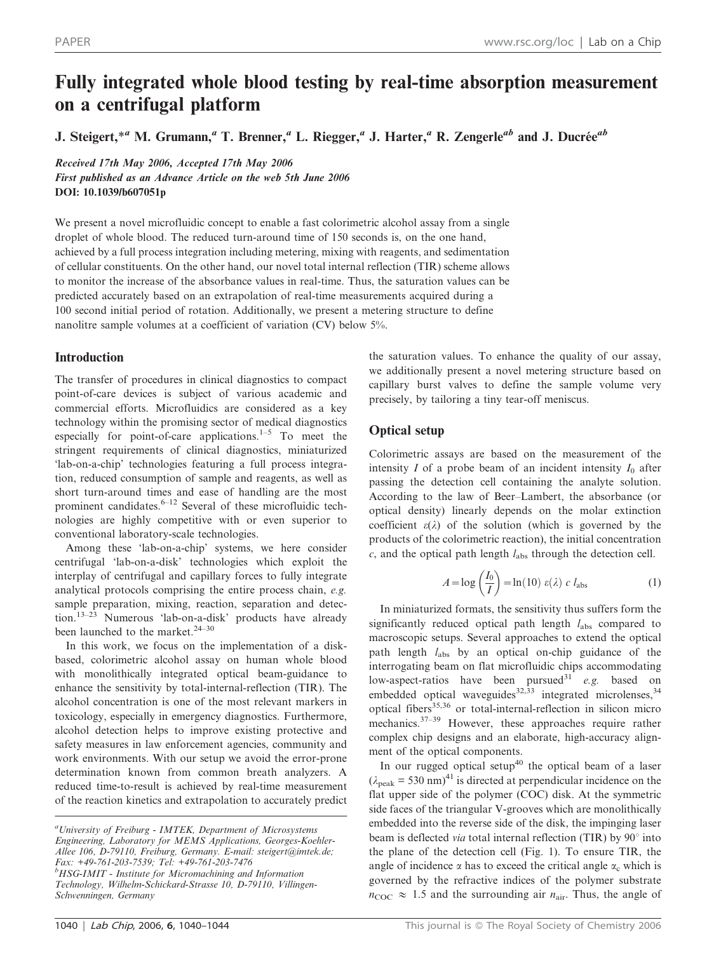# Fully integrated whole blood testing by real-time absorption measurement on a centrifugal platform

J. Steigert,<sup>\*a</sup> M. Grumann,<sup>a</sup> T. Brenner,<sup>a</sup> L. Riegger,<sup>a</sup> J. Harter,<sup>a</sup> R. Zengerle<sup>ab</sup> and J. Ducrée<sup>ab</sup>

Received 17th May 2006, Accepted 17th May 2006 First published as an Advance Article on the web 5th June 2006 DOI: 10.1039/b607051p

We present a novel microfluidic concept to enable a fast colorimetric alcohol assay from a single droplet of whole blood. The reduced turn-around time of 150 seconds is, on the one hand, achieved by a full process integration including metering, mixing with reagents, and sedimentation of cellular constituents. On the other hand, our novel total internal reflection (TIR) scheme allows to monitor the increase of the absorbance values in real-time. Thus, the saturation values can be predicted accurately based on an extrapolation of real-time measurements acquired during a 100 second initial period of rotation. Additionally, we present a metering structure to define nanolitre sample volumes at a coefficient of variation (CV) below 5%.

# Introduction

The transfer of procedures in clinical diagnostics to compact point-of-care devices is subject of various academic and commercial efforts. Microfluidics are considered as a key technology within the promising sector of medical diagnostics especially for point-of-care applications.<sup>1–5</sup> To meet the stringent requirements of clinical diagnostics, miniaturized 'lab-on-a-chip' technologies featuring a full process integration, reduced consumption of sample and reagents, as well as short turn-around times and ease of handling are the most prominent candidates.6–12 Several of these microfluidic technologies are highly competitive with or even superior to conventional laboratory-scale technologies.

Among these 'lab-on-a-chip' systems, we here consider centrifugal 'lab-on-a-disk' technologies which exploit the interplay of centrifugal and capillary forces to fully integrate analytical protocols comprising the entire process chain, e.g. sample preparation, mixing, reaction, separation and detection.13–23 Numerous 'lab-on-a-disk' products have already been launched to the market.<sup>24-30</sup>

In this work, we focus on the implementation of a diskbased, colorimetric alcohol assay on human whole blood with monolithically integrated optical beam-guidance to enhance the sensitivity by total-internal-reflection (TIR). The alcohol concentration is one of the most relevant markers in toxicology, especially in emergency diagnostics. Furthermore, alcohol detection helps to improve existing protective and safety measures in law enforcement agencies, community and work environments. With our setup we avoid the error-prone determination known from common breath analyzers. A reduced time-to-result is achieved by real-time measurement of the reaction kinetics and extrapolation to accurately predict

Schwenningen, Germany

the saturation values. To enhance the quality of our assay, we additionally present a novel metering structure based on capillary burst valves to define the sample volume very precisely, by tailoring a tiny tear-off meniscus.

# Optical setup

Colorimetric assays are based on the measurement of the intensity  $I$  of a probe beam of an incident intensity  $I_0$  after passing the detection cell containing the analyte solution. According to the law of Beer–Lambert, the absorbance (or optical density) linearly depends on the molar extinction coefficient  $\varepsilon(\lambda)$  of the solution (which is governed by the products of the colorimetric reaction), the initial concentration  $c$ , and the optical path length  $l_{\text{abs}}$  through the detection cell.

$$
A = \log\left(\frac{I_0}{I}\right) = \ln(10) \varepsilon(\lambda) \ c \ l_{\text{abs}} \tag{1}
$$

In miniaturized formats, the sensitivity thus suffers form the significantly reduced optical path length  $l_{\text{abs}}$  compared to macroscopic setups. Several approaches to extend the optical path length  $l_{\text{abs}}$  by an optical on-chip guidance of the interrogating beam on flat microfluidic chips accommodating low-aspect-ratios have been pursued<sup>31</sup> e.g. based on embedded optical waveguides<sup>32,33</sup> integrated microlenses,<sup>34</sup> optical fibers<sup>35,36</sup> or total-internal-reflection in silicon micro mechanics.<sup>37–39</sup> However, these approaches require rather complex chip designs and an elaborate, high-accuracy alignment of the optical components.

In our rugged optical setup $40$  the optical beam of a laser  $(\lambda_{\text{peak}} = 530 \text{ nm})^{41}$  is directed at perpendicular incidence on the flat upper side of the polymer (COC) disk. At the symmetric side faces of the triangular V-grooves which are monolithically embedded into the reverse side of the disk, the impinging laser beam is deflected *via* total internal reflection (TIR) by  $90^\circ$  into the plane of the detection cell (Fig. 1). To ensure TIR, the angle of incidence  $\alpha$  has to exceed the critical angle  $\alpha_c$  which is governed by the refractive indices of the polymer substrate  $n_{\rm COC} \approx 1.5$  and the surrounding air  $n_{\rm air}$ . Thus, the angle of

<sup>&</sup>lt;sup>a</sup> University of Freiburg - IMTEK, Department of Microsystems Engineering, Laboratory for MEMS Applications, Georges-Koehler-Allee 106, D-79110, Freiburg, Germany. E-mail: steigert@imtek.de; Fax: +49-761-203-7539; Tel: +49-761-203-7476 <sup>b</sup>HSG-IMIT - Institute for Micromachining and Information Technology, Wilhelm-Schickard-Strasse 10, D-79110, Villingen-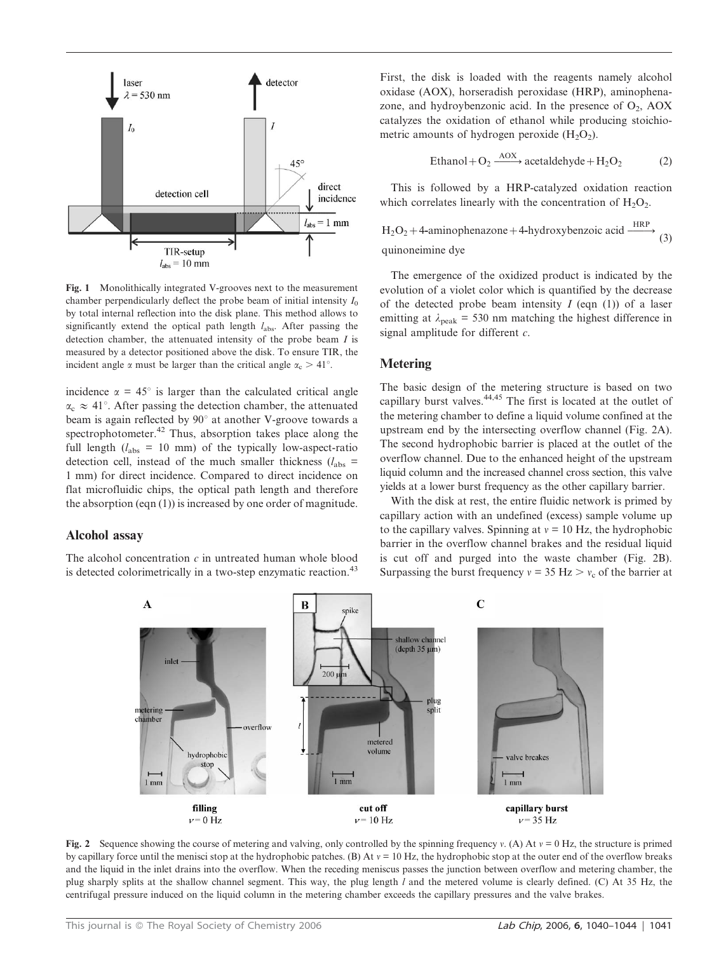

Fig. 1 Monolithically integrated V-grooves next to the measurement chamber perpendicularly deflect the probe beam of initial intensity  $I_0$ by total internal reflection into the disk plane. This method allows to significantly extend the optical path length  $l_{\text{abs}}$ . After passing the detection chamber, the attenuated intensity of the probe beam  $I$  is measured by a detector positioned above the disk. To ensure TIR, the incident angle  $\alpha$  must be larger than the critical angle  $\alpha_c > 41^\circ$ .

incidence  $\alpha = 45^{\circ}$  is larger than the calculated critical angle  $\alpha_c \approx 41^\circ$ . After passing the detection chamber, the attenuated beam is again reflected by  $90^\circ$  at another V-groove towards a spectrophotometer.<sup>42</sup> Thus, absorption takes place along the full length  $(l_{\text{abs}} = 10 \text{ mm})$  of the typically low-aspect-ratio detection cell, instead of the much smaller thickness  $(l_{\text{abs}} =$ 1 mm) for direct incidence. Compared to direct incidence on flat microfluidic chips, the optical path length and therefore the absorption (eqn (1)) is increased by one order of magnitude.

## Alcohol assay

The alcohol concentration  $c$  in untreated human whole blood is detected colorimetrically in a two-step enzymatic reaction.<sup>43</sup>

First, the disk is loaded with the reagents namely alcohol oxidase (AOX), horseradish peroxidase (HRP), aminophenazone, and hydroybenzonic acid. In the presence of  $O_2$ , AOX catalyzes the oxidation of ethanol while producing stoichiometric amounts of hydrogen peroxide  $(H_2O_2)$ .

$$
Ethanol + O_2 \xrightarrow{AOX} acetaldehyde + H_2O_2 \tag{2}
$$

This is followed by a HRP-catalyzed oxidation reaction which correlates linearly with the concentration of  $H_2O_2$ .

$$
H_2O_2 + 4\text{-aminophenazone} + 4\text{-hydroxybenzolic acid} \xrightarrow{\text{HRP}}
$$
\n
$$
\text{(3)}
$$
\nquinoneimine due

quinoneimine dye

The emergence of the oxidized product is indicated by the evolution of a violet color which is quantified by the decrease of the detected probe beam intensity  $I$  (eqn (1)) of a laser emitting at  $\lambda_{\text{peak}}$  = 530 nm matching the highest difference in signal amplitude for different  $c$ .

# Metering

The basic design of the metering structure is based on two capillary burst valves.44,45 The first is located at the outlet of the metering chamber to define a liquid volume confined at the upstream end by the intersecting overflow channel (Fig. 2A). The second hydrophobic barrier is placed at the outlet of the overflow channel. Due to the enhanced height of the upstream liquid column and the increased channel cross section, this valve yields at a lower burst frequency as the other capillary barrier.

With the disk at rest, the entire fluidic network is primed by capillary action with an undefined (excess) sample volume up to the capillary valves. Spinning at  $v = 10$  Hz, the hydrophobic barrier in the overflow channel brakes and the residual liquid is cut off and purged into the waste chamber (Fig. 2B). Surpassing the burst frequency  $v = 35 \text{ Hz} > v_c$  of the barrier at



Fig. 2 Sequence showing the course of metering and valving, only controlled by the spinning frequency v. (A) At  $v = 0$  Hz, the structure is primed by capillary force until the menisci stop at the hydrophobic patches. (B) At  $v = 10$  Hz, the hydrophobic stop at the outer end of the overflow breaks and the liquid in the inlet drains into the overflow. When the receding meniscus passes the junction between overflow and metering chamber, the plug sharply splits at the shallow channel segment. This way, the plug length l and the metered volume is clearly defined. (C) At 35 Hz, the centrifugal pressure induced on the liquid column in the metering chamber exceeds the capillary pressures and the valve brakes.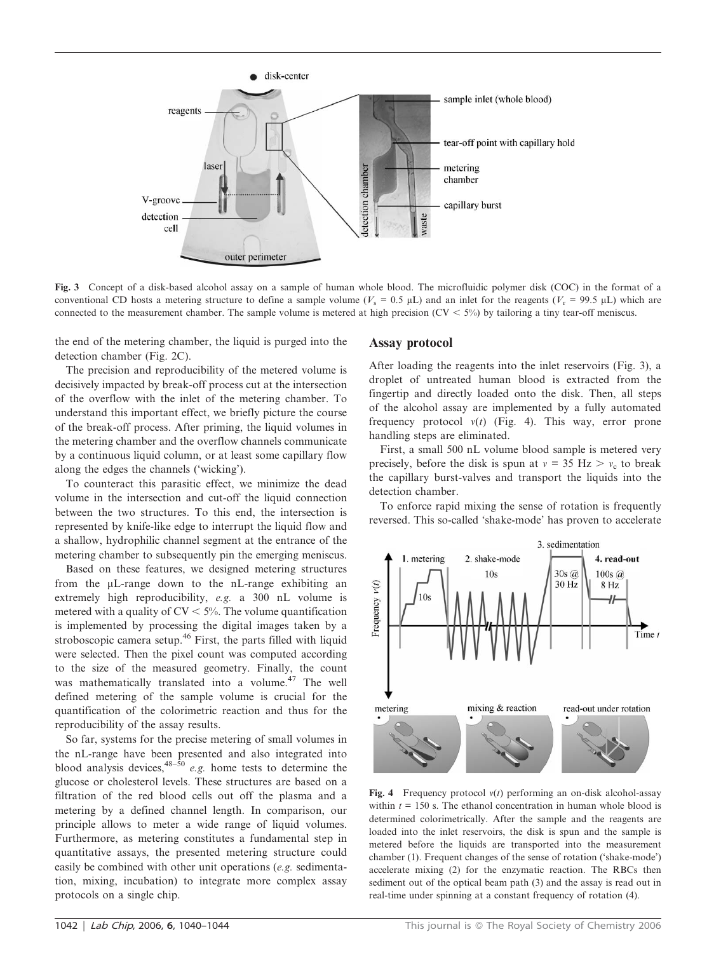

Fig. 3 Concept of a disk-based alcohol assay on a sample of human whole blood. The microfluidic polymer disk (COC) in the format of a conventional CD hosts a metering structure to define a sample volume ( $V_s = 0.5 \mu L$ ) and an inlet for the reagents ( $V_r = 99.5 \mu L$ ) which are connected to the measurement chamber. The sample volume is metered at high precision ( $CV < 5\%$ ) by tailoring a tiny tear-off meniscus.

the end of the metering chamber, the liquid is purged into the detection chamber (Fig. 2C).

The precision and reproducibility of the metered volume is decisively impacted by break-off process cut at the intersection of the overflow with the inlet of the metering chamber. To understand this important effect, we briefly picture the course of the break-off process. After priming, the liquid volumes in the metering chamber and the overflow channels communicate by a continuous liquid column, or at least some capillary flow along the edges the channels ('wicking').

To counteract this parasitic effect, we minimize the dead volume in the intersection and cut-off the liquid connection between the two structures. To this end, the intersection is represented by knife-like edge to interrupt the liquid flow and a shallow, hydrophilic channel segment at the entrance of the metering chamber to subsequently pin the emerging meniscus.

Based on these features, we designed metering structures from the mL-range down to the nL-range exhibiting an extremely high reproducibility, e.g. a 300 nL volume is metered with a quality of  $CV < 5\%$ . The volume quantification is implemented by processing the digital images taken by a stroboscopic camera setup.<sup>46</sup> First, the parts filled with liquid were selected. Then the pixel count was computed according to the size of the measured geometry. Finally, the count was mathematically translated into a volume.<sup>47</sup> The well defined metering of the sample volume is crucial for the quantification of the colorimetric reaction and thus for the reproducibility of the assay results.

So far, systems for the precise metering of small volumes in the nL-range have been presented and also integrated into blood analysis devices,  $48-\frac{50}{9}$  e.g. home tests to determine the glucose or cholesterol levels. These structures are based on a filtration of the red blood cells out off the plasma and a metering by a defined channel length. In comparison, our principle allows to meter a wide range of liquid volumes. Furthermore, as metering constitutes a fundamental step in quantitative assays, the presented metering structure could easily be combined with other unit operations (e.g. sedimentation, mixing, incubation) to integrate more complex assay protocols on a single chip.

#### Assay protocol

After loading the reagents into the inlet reservoirs (Fig. 3), a droplet of untreated human blood is extracted from the fingertip and directly loaded onto the disk. Then, all steps of the alcohol assay are implemented by a fully automated frequency protocol  $v(t)$  (Fig. 4). This way, error prone handling steps are eliminated.

First, a small 500 nL volume blood sample is metered very precisely, before the disk is spun at  $v = 35$  Hz  $> v_c$  to break the capillary burst-valves and transport the liquids into the detection chamber.

To enforce rapid mixing the sense of rotation is frequently reversed. This so-called 'shake-mode' has proven to accelerate



Fig. 4 Frequency protocol  $v(t)$  performing an on-disk alcohol-assay within  $t = 150$  s. The ethanol concentration in human whole blood is determined colorimetrically. After the sample and the reagents are loaded into the inlet reservoirs, the disk is spun and the sample is metered before the liquids are transported into the measurement chamber (1). Frequent changes of the sense of rotation ('shake-mode') accelerate mixing (2) for the enzymatic reaction. The RBCs then sediment out of the optical beam path (3) and the assay is read out in real-time under spinning at a constant frequency of rotation (4).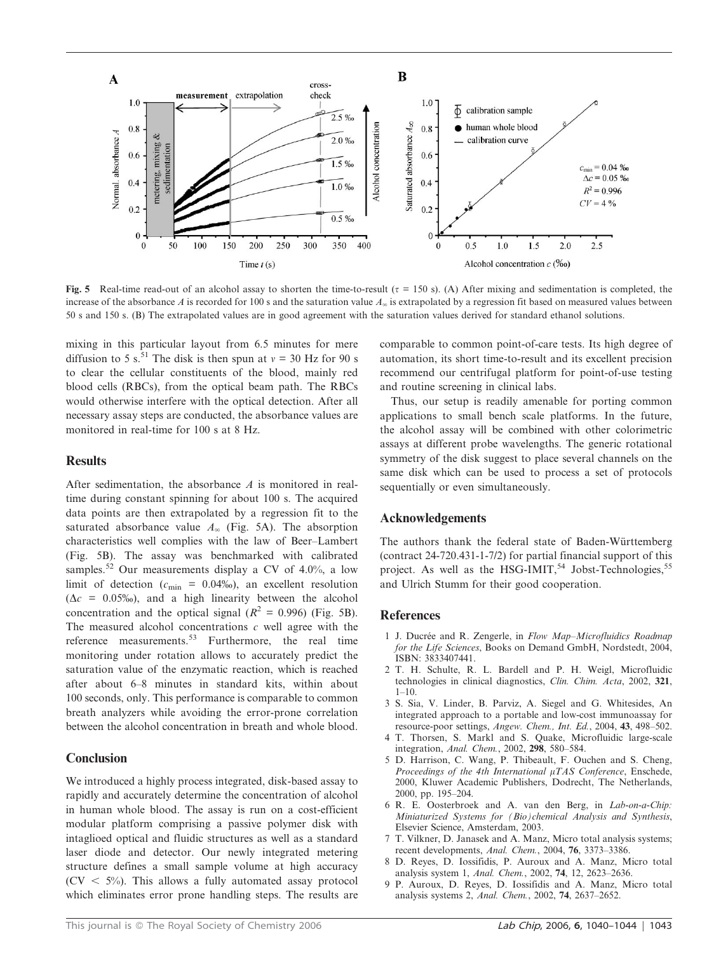

Fig. 5 Real-time read-out of an alcohol assay to shorten the time-to-result ( $\tau = 150$  s). (A) After mixing and sedimentation is completed, the increase of the absorbance A is recorded for 100 s and the saturation value  $A<sub>x</sub>$  is extrapolated by a regression fit based on measured values between 50 s and 150 s. (B) The extrapolated values are in good agreement with the saturation values derived for standard ethanol solutions.

mixing in this particular layout from 6.5 minutes for mere diffusion to 5 s.<sup>51</sup> The disk is then spun at  $v = 30$  Hz for 90 s to clear the cellular constituents of the blood, mainly red blood cells (RBCs), from the optical beam path. The RBCs would otherwise interfere with the optical detection. After all necessary assay steps are conducted, the absorbance values are monitored in real-time for 100 s at 8 Hz.

# Results

After sedimentation, the absorbance A is monitored in realtime during constant spinning for about 100 s. The acquired data points are then extrapolated by a regression fit to the saturated absorbance value  $A_{\infty}$  (Fig. 5A). The absorption characteristics well complies with the law of Beer–Lambert (Fig. 5B). The assay was benchmarked with calibrated samples.<sup>52</sup> Our measurements display a CV of 4.0%, a low limit of detection ( $c_{\text{min}} = 0.04\%$ ), an excellent resolution  $(\Delta c = 0.05\%)$ , and a high linearity between the alcohol concentration and the optical signal ( $R^2 = 0.996$ ) (Fig. 5B). The measured alcohol concentrations  $c$  well agree with the reference measurements.<sup>53</sup> Furthermore, the real time monitoring under rotation allows to accurately predict the saturation value of the enzymatic reaction, which is reached after about 6–8 minutes in standard kits, within about 100 seconds, only. This performance is comparable to common breath analyzers while avoiding the error-prone correlation between the alcohol concentration in breath and whole blood.

# **Conclusion**

We introduced a highly process integrated, disk-based assay to rapidly and accurately determine the concentration of alcohol in human whole blood. The assay is run on a cost-efficient modular platform comprising a passive polymer disk with intaglioed optical and fluidic structures as well as a standard laser diode and detector. Our newly integrated metering structure defines a small sample volume at high accuracy  $(CV < 5\%)$ . This allows a fully automated assay protocol which eliminates error prone handling steps. The results are comparable to common point-of-care tests. Its high degree of automation, its short time-to-result and its excellent precision recommend our centrifugal platform for point-of-use testing and routine screening in clinical labs.

Thus, our setup is readily amenable for porting common applications to small bench scale platforms. In the future, the alcohol assay will be combined with other colorimetric assays at different probe wavelengths. The generic rotational symmetry of the disk suggest to place several channels on the same disk which can be used to process a set of protocols sequentially or even simultaneously.

# Acknowledgements

The authors thank the federal state of Baden-Württemberg (contract 24-720.431-1-7/2) for partial financial support of this project. As well as the HSG-IMIT,<sup>54</sup> Jobst-Technologies,<sup>55</sup> and Ulrich Stumm for their good cooperation.

## **References**

- 1 J. Ducrée and R. Zengerle, in Flow Map-Microfluidics Roadmap for the Life Sciences, Books on Demand GmbH, Nordstedt, 2004, ISBN: 3833407441.
- 2 T. H. Schulte, R. L. Bardell and P. H. Weigl, Microfluidic technologies in clinical diagnostics, Clin. Chim. Acta, 2002, 321,  $1-10.$
- 3 S. Sia, V. Linder, B. Parviz, A. Siegel and G. Whitesides, An integrated approach to a portable and low-cost immunoassay for resource-poor settings, Angew. Chem., Int. Ed., 2004, 43, 498–502.
- 4 T. Thorsen, S. Markl and S. Quake, Microfluidic large-scale integration, Anal. Chem., 2002, 298, 580–584.
- 5 D. Harrison, C. Wang, P. Thibeault, F. Ouchen and S. Cheng, Proceedings of the 4th International  $\mu TAS$  Conference, Enschede, 2000, Kluwer Academic Publishers, Dodrecht, The Netherlands, 2000, pp. 195–204.
- 6 R. E. Oosterbroek and A. van den Berg, in Lab-on-a-Chip: Miniaturized Systems for (Bio)chemical Analysis and Synthesis, Elsevier Science, Amsterdam, 2003.
- 7 T. Vilkner, D. Janasek and A. Manz, Micro total analysis systems; recent developments, Anal. Chem., 2004, 76, 3373–3386.
- 8 D. Reyes, D. Iossifidis, P. Auroux and A. Manz, Micro total analysis system 1, Anal. Chem., 2002, 74, 12, 2623–2636.
- 9 P. Auroux, D. Reyes, D. Iossifidis and A. Manz, Micro total analysis systems 2, Anal. Chem., 2002, 74, 2637–2652.